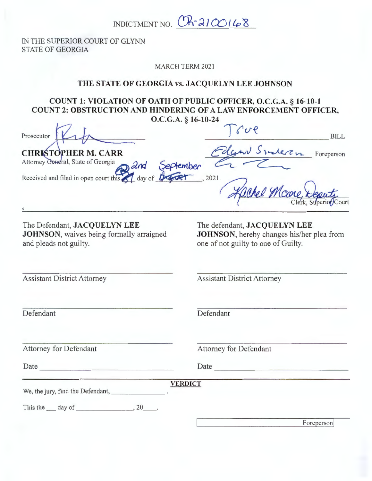INDICTMENT NO.  $CR-2100168$ 

IN THE SUPERIOR COURT OF GLYNN STATE OF GEORGIA

MARCH TERM 2021

### **THE STATE OF GEORGIA vs. JACQUELYN LEE JOHNSON**

**COUNT 1: VIOLATION OF OATH OF PUBLIC OFFICER, O.C.G.A.** § **16-10-1 COUNT 2: OBSTRUCTION AND HINDERING OF A LAW ENFORCEMENT OFFICER,**  O.C.G.A. § 16-10-24

|                                                                                                          | $V_{1}$ , $V_{1}$ , $V_{2}$ , $V_{3}$ , $V_{4}$ , $V_{5}$ |
|----------------------------------------------------------------------------------------------------------|-----------------------------------------------------------|
| Prosecutor                                                                                               | $C\cup P$<br><b>BILL</b>                                  |
| <b>CHRISTOPHER M. CARR</b>                                                                               | Edgar Smerch Foreperson                                   |
| Attorney General, State of Georgia<br>Received and filed in open court this 21 day of Deptember<br>2021. |                                                           |
|                                                                                                          | Hackel Moore, Deputy                                      |
|                                                                                                          |                                                           |
| The Defendant LACOUFLVN LEE                                                                              | The defendant JACOUELVN LEE                               |

The Defendant, **JACQUELYN LEE JOHNSON**, waives being formally arraigned and pleads not guilty.

The defendant, **JACQUELYN LEE JOHNSON,** hereby changes his/her plea from one of not guilty to one of Guilty.

Assistant District Attorney

Assistant District Attorney

Defendant

Defendant

Attorney for Defendant

Attorney for Defendant

Date ------------ --

Date

**VERDICT**  We, the jury, find the Defendant, \_\_\_\_\_\_\_\_\_\_\_\_\_\_\_.

This the day of  $\qquad \qquad .20$ .

Foreperson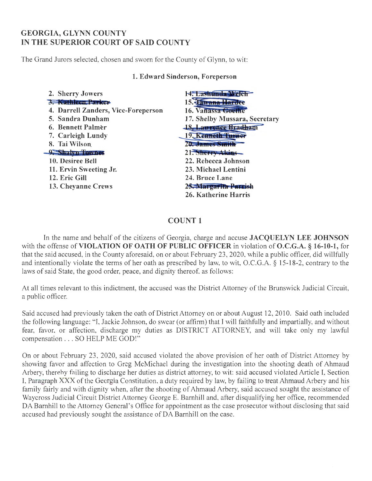# **GEORGIA, GLYNN COUNTY IN THE SUPERIOR COURT OF SAID COUNTY**

The Grand Jurors selected, chosen and sworn for the County of Glynn, to wit:

### **1. Edward Sinderson, Foreperson**

| 14. Lastunda M                |
|-------------------------------|
|                               |
| <b>16. Vanassa Goethe</b>     |
| 17. Shelby Mussara, Secretary |
| <b>18. Lawrence Bradham</b>   |
| 9. Kenneth Turn               |
| $20 - 1$ ames Smit            |
| 21. Sherry Akins              |
| 22. Rebecca Johnson           |
| 23. Michael Lentini           |
| 24. Bruce Lane                |
| 25. Margarita Parrish         |
| 26. Katherine Harris          |
|                               |

# **COUNT 1**

In the name and behalf of the citizens of Georgia, charge and accuse **JACQUELYN LEE JOHNSON**  with the offense of **VIOLATION OF OATH OF PUBLIC OFFICER** in violation of **O.C.G.A. § 16-10-1,** for that the said accused, in the County aforesaid, on or about February 23, 2020, while a public officer, did willfully and intentionally violate the terms of her oath as prescribed by law, to wit, O.C.G.A. § 15-18-2, contrary to the laws of said State, the good order, peace, and dignity thereof, as follows:

At all times relevant to this indictment, the accused was the District Attorney of the Brunswick Judicial Circuit, a public officer.

Said accused had previously taken the oath of District Attorney on or about August 12, 2010. Said oath included the following language: "I, Jackie Johnson, do swear (or affirm) that I will faithfully and impartially, and without fear, favor, or affection, discharge my duties as DISTRICT ATTORNEY, and will take only my lawful compensation . . . SO HELP ME GOD!"

On or about February 23 , 2020, said accused violated the above provision of her oath of District Attorney by showing favor and affection to Greg McMichael during the investigation into the shooting death of Ahmaud Arbery, thereby failing to discharge her duties as district attorney, to wit: said accused violated Article I, Section I, Paragraph XXX of the Georgia Constitution, a duty required by law, by failing to treat Ahmaud Arbery and his family fairly and with dignity when, after the shooting of Ahmaud Arbery, said accused sought the assistance of Waycross Judicial Circuit District Attorney George E. Barnhill and, after disqualifying her office, recommended DA Barnhill to the Attorney General's Office for appointment as the case prosecutor without disclosing that said accused had previously sought the assistance of DA Barnhill on the case.